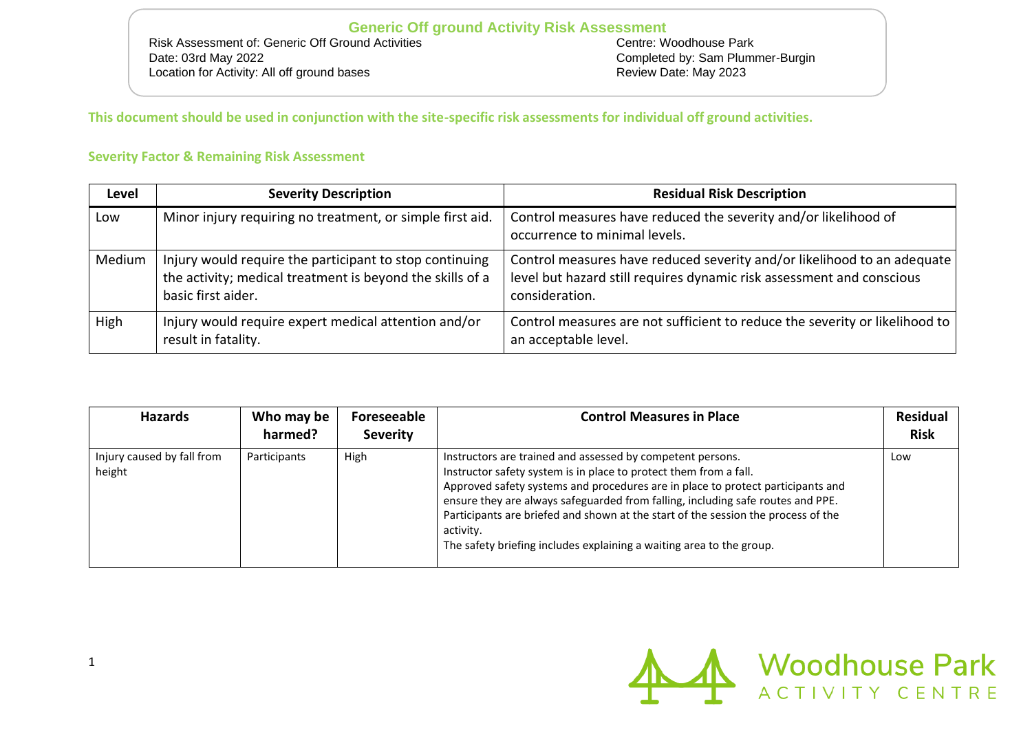# **Generic Off ground Activity Risk Assessment**<br> **Centre: Woodhouse Park**<br>
Centre: Woodhouse Park

Risk Assessment of: Generic Off Ground Activities Date: 03rd May 2022<br>
Location for Activity: All off ground bases<br>
Location for Activity: All off ground bases<br>
Completed by: Sam Plummer-Burgin<br>
Review Date: May 2023 Location for Activity: All off ground bases

**This document should be used in conjunction with the site-specific risk assessments for individual off ground activities.** 

### **Severity Factor & Remaining Risk Assessment**

| Level  | <b>Severity Description</b>                                                                                                                | <b>Residual Risk Description</b>                                                                                                                                   |
|--------|--------------------------------------------------------------------------------------------------------------------------------------------|--------------------------------------------------------------------------------------------------------------------------------------------------------------------|
| Low    | Minor injury requiring no treatment, or simple first aid.                                                                                  | Control measures have reduced the severity and/or likelihood of<br>occurrence to minimal levels.                                                                   |
| Medium | Injury would require the participant to stop continuing<br>the activity; medical treatment is beyond the skills of a<br>basic first aider. | Control measures have reduced severity and/or likelihood to an adequate<br>level but hazard still requires dynamic risk assessment and conscious<br>consideration. |
| High   | Injury would require expert medical attention and/or<br>result in fatality.                                                                | Control measures are not sufficient to reduce the severity or likelihood to<br>an acceptable level.                                                                |

| <b>Hazards</b>                       | Who may be<br>harmed? | Foreseeable<br><b>Severity</b> | <b>Control Measures in Place</b>                                                                                                                                                                                                                                                                                                                                                                                                                                                | <b>Residual</b><br><b>Risk</b> |
|--------------------------------------|-----------------------|--------------------------------|---------------------------------------------------------------------------------------------------------------------------------------------------------------------------------------------------------------------------------------------------------------------------------------------------------------------------------------------------------------------------------------------------------------------------------------------------------------------------------|--------------------------------|
| Injury caused by fall from<br>height | Participants          | High                           | Instructors are trained and assessed by competent persons.<br>Instructor safety system is in place to protect them from a fall.<br>Approved safety systems and procedures are in place to protect participants and<br>ensure they are always safeguarded from falling, including safe routes and PPE.<br>Participants are briefed and shown at the start of the session the process of the<br>activity.<br>The safety briefing includes explaining a waiting area to the group. | Low                            |

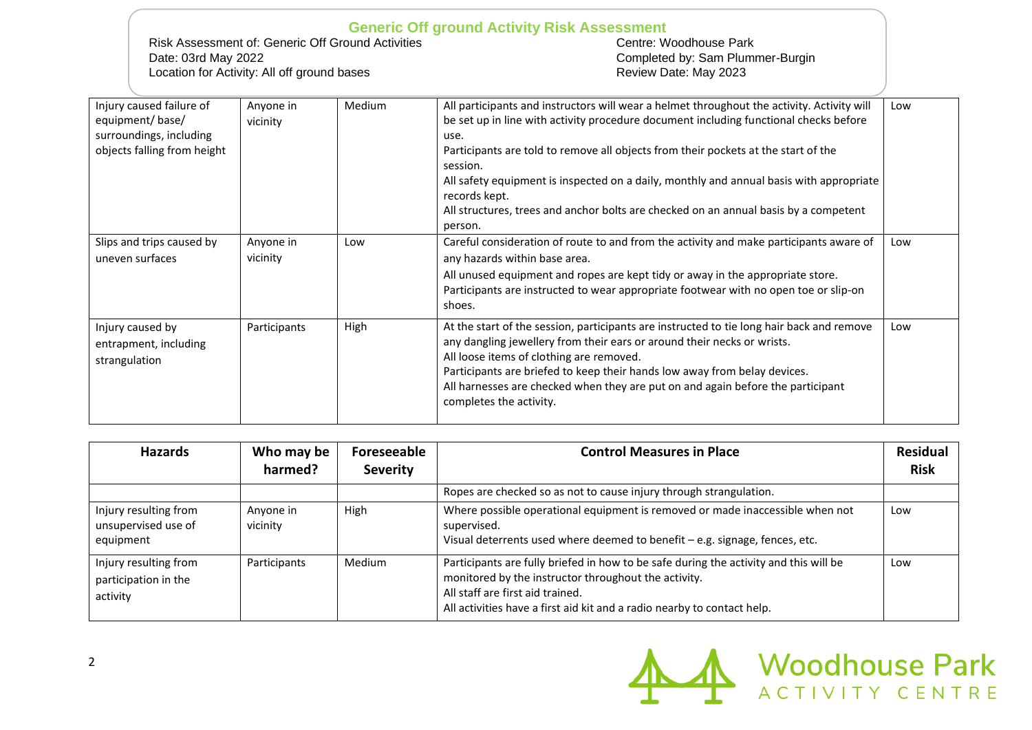#### **Generic Off ground Activity Risk Assessment**<br> **Centre: Woodhouse Park**<br>
Centre: Woodhouse Park Risk Assessment of: Generic Off Ground Activities Date: 03rd May 2022<br>
Location for Activity: All off ground bases<br>
Location for Activity: All off ground bases<br>
Completed by: Sam Plummer-Burgin<br>
Review Date: May 2023 Location for Activity: All off ground bases Injury caused failure of  $\overline{\phantom{a}}$  $\overline{\phantom{a}}$  Medium  $\overline{\phantom{a}}$  All participants and instructors will wear a helmet throughout the activity. Activity will Low

| Injury caused failure of<br>equipment/base/<br>surroundings, including<br>objects falling from height | Anyone in<br>vicinity | Medium | All participants and instructors will wear a neimet throughout the activity. Activity will<br>be set up in line with activity procedure document including functional checks before<br>use.<br>Participants are told to remove all objects from their pockets at the start of the<br>session.<br>All safety equipment is inspected on a daily, monthly and annual basis with appropriate<br>records kept.<br>All structures, trees and anchor bolts are checked on an annual basis by a competent<br>person. | LOW |
|-------------------------------------------------------------------------------------------------------|-----------------------|--------|--------------------------------------------------------------------------------------------------------------------------------------------------------------------------------------------------------------------------------------------------------------------------------------------------------------------------------------------------------------------------------------------------------------------------------------------------------------------------------------------------------------|-----|
| Slips and trips caused by<br>uneven surfaces                                                          | Anyone in<br>vicinity | Low    | Careful consideration of route to and from the activity and make participants aware of<br>any hazards within base area.<br>All unused equipment and ropes are kept tidy or away in the appropriate store.<br>Participants are instructed to wear appropriate footwear with no open toe or slip-on<br>shoes.                                                                                                                                                                                                  | Low |
| Injury caused by<br>entrapment, including<br>strangulation                                            | Participants          | High   | At the start of the session, participants are instructed to tie long hair back and remove<br>any dangling jewellery from their ears or around their necks or wrists.<br>All loose items of clothing are removed.<br>Participants are briefed to keep their hands low away from belay devices.<br>All harnesses are checked when they are put on and again before the participant<br>completes the activity.                                                                                                  | Low |

| <b>Hazards</b>                                            | Who may be<br>harmed? | Foreseeable<br><b>Severity</b> | <b>Control Measures in Place</b>                                                                                                                                                                                                                             | <b>Residual</b><br><b>Risk</b> |
|-----------------------------------------------------------|-----------------------|--------------------------------|--------------------------------------------------------------------------------------------------------------------------------------------------------------------------------------------------------------------------------------------------------------|--------------------------------|
|                                                           |                       |                                | Ropes are checked so as not to cause injury through strangulation.                                                                                                                                                                                           |                                |
| Injury resulting from<br>unsupervised use of<br>equipment | Anyone in<br>vicinity | High                           | Where possible operational equipment is removed or made inaccessible when not<br>supervised.<br>Visual deterrents used where deemed to benefit - e.g. signage, fences, etc.                                                                                  | Low                            |
| Injury resulting from<br>participation in the<br>activity | Participants          | Medium                         | Participants are fully briefed in how to be safe during the activity and this will be<br>monitored by the instructor throughout the activity.<br>All staff are first aid trained.<br>All activities have a first aid kit and a radio nearby to contact help. | Low                            |